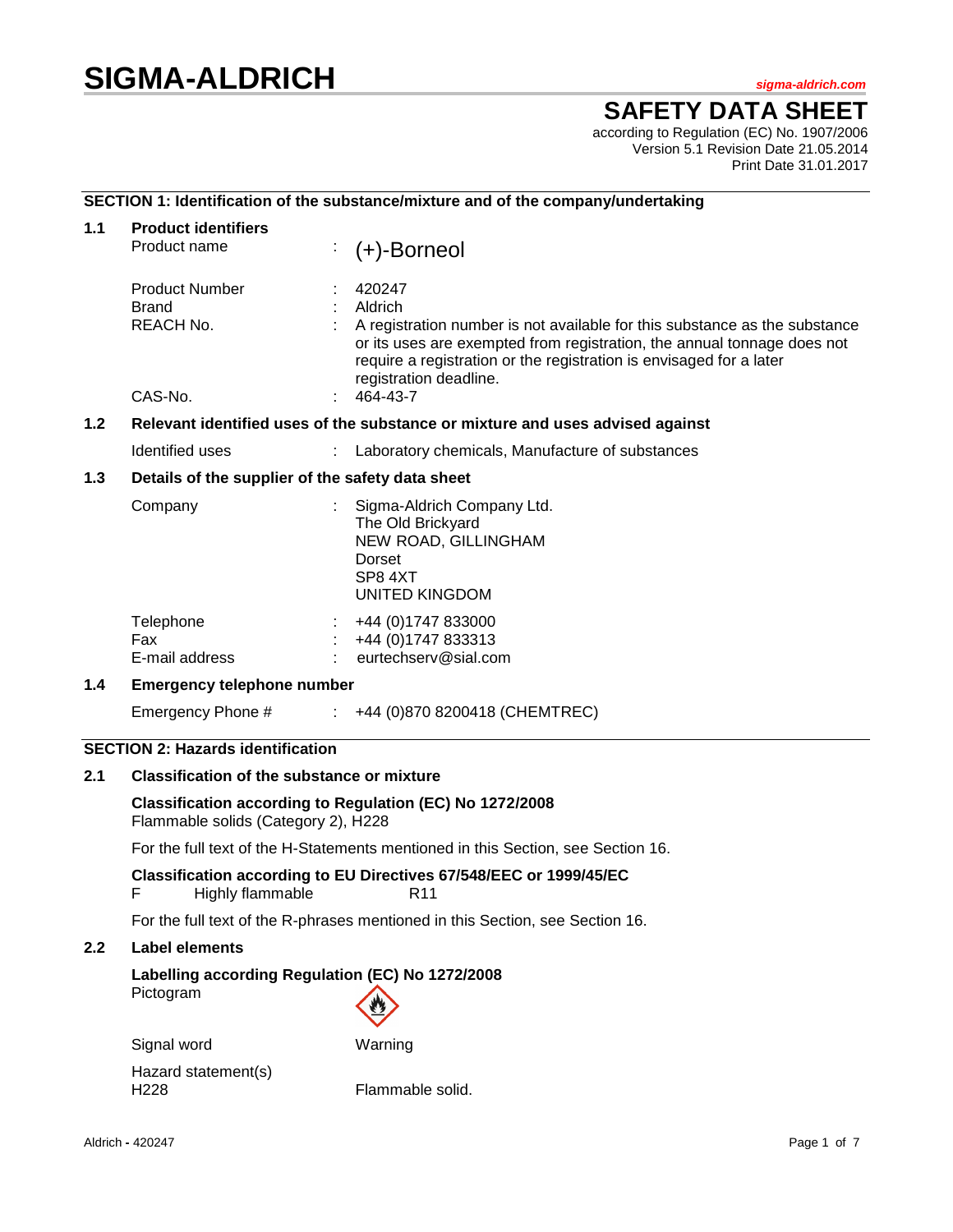# **SIGMA-ALDRICH** *sigma-aldrich.com*

# **SAFETY DATA SHEET**

according to Regulation (EC) No. 1907/2006 Version 5.1 Revision Date 21.05.2014 Print Date 31.01.2017

# **SECTION 1: Identification of the substance/mixture and of the company/undertaking**

| 1.1 | <b>Product identifiers</b><br>Product name                                    |  | $(+)$ -Borneol                                                                                                                                                                                                                                                                          |  |  |
|-----|-------------------------------------------------------------------------------|--|-----------------------------------------------------------------------------------------------------------------------------------------------------------------------------------------------------------------------------------------------------------------------------------------|--|--|
|     | <b>Product Number</b><br><b>Brand</b><br>REACH No.<br>CAS-No.                 |  | 420247<br>Aldrich<br>A registration number is not available for this substance as the substance<br>or its uses are exempted from registration, the annual tonnage does not<br>require a registration or the registration is envisaged for a later<br>registration deadline.<br>464-43-7 |  |  |
| 1.2 | Relevant identified uses of the substance or mixture and uses advised against |  |                                                                                                                                                                                                                                                                                         |  |  |
|     | Identified uses                                                               |  | Laboratory chemicals, Manufacture of substances                                                                                                                                                                                                                                         |  |  |
| 1.3 | Details of the supplier of the safety data sheet                              |  |                                                                                                                                                                                                                                                                                         |  |  |
|     | Company                                                                       |  | Sigma-Aldrich Company Ltd.<br>The Old Brickyard<br>NEW ROAD, GILLINGHAM<br>Dorset<br>SP8 4XT<br>UNITED KINGDOM                                                                                                                                                                          |  |  |
|     | Telephone<br>Fax<br>E-mail address                                            |  | +44 (0) 1747 833000<br>+44 (0) 1747 833313<br>eurtechserv@sial.com                                                                                                                                                                                                                      |  |  |
| 1.4 | <b>Emergency telephone number</b>                                             |  |                                                                                                                                                                                                                                                                                         |  |  |
|     | Emergency Phone #                                                             |  | +44 (0)870 8200418 (CHEMTREC)                                                                                                                                                                                                                                                           |  |  |

# **SECTION 2: Hazards identification**

# **2.1 Classification of the substance or mixture**

**Classification according to Regulation (EC) No 1272/2008** Flammable solids (Category 2), H228

For the full text of the H-Statements mentioned in this Section, see Section 16.

#### **Classification according to EU Directives 67/548/EEC or 1999/45/EC** F Highly flammable R11

For the full text of the R-phrases mentioned in this Section, see Section 16.

#### **2.2 Label elements**

# **Labelling according Regulation (EC) No 1272/2008** Pictogram

| Signal word         | Warning          |
|---------------------|------------------|
| Hazard statement(s) |                  |
| H <sub>228</sub>    | Flammable solid. |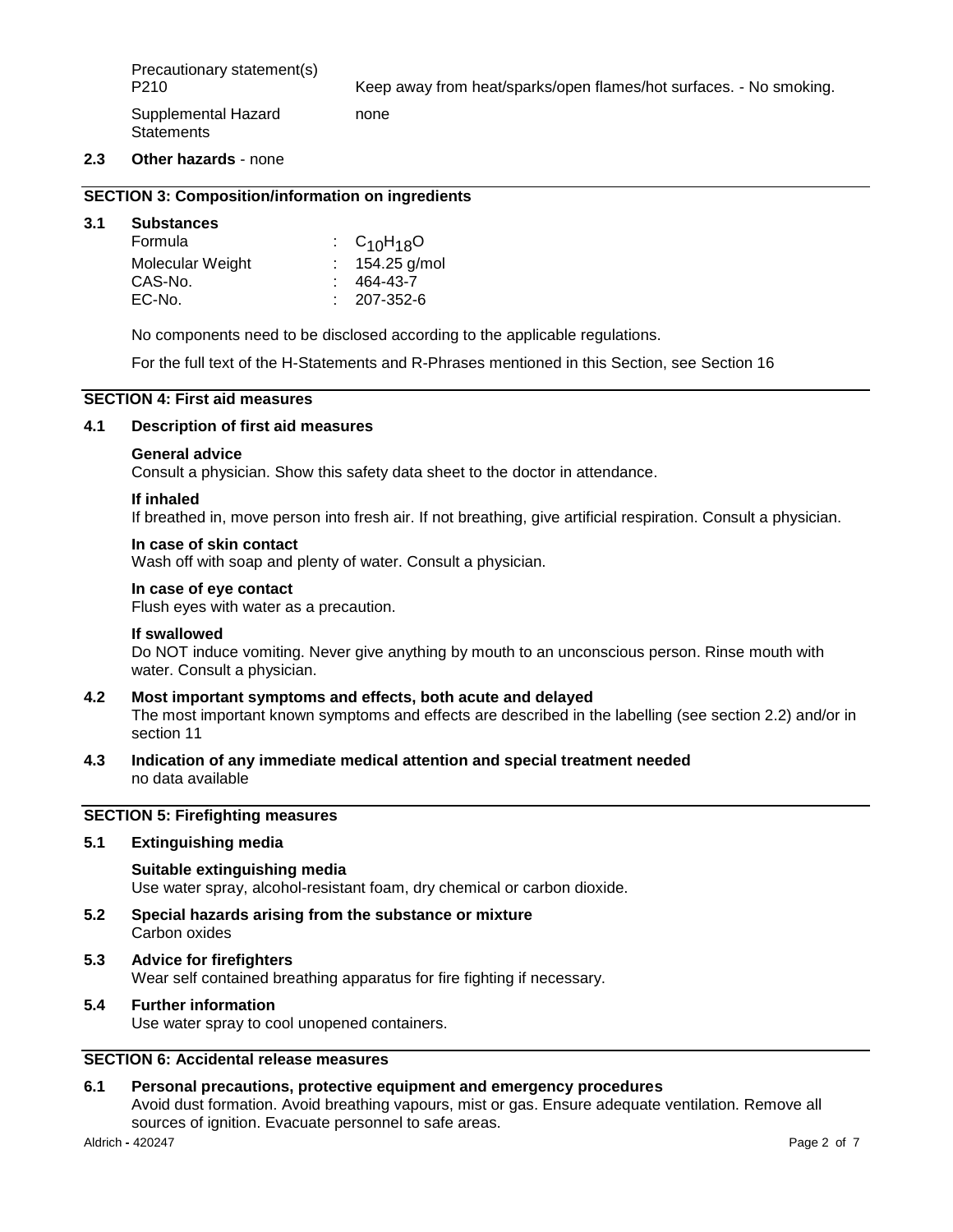P210 Keep away from heat/sparks/open flames/hot surfaces. - No smoking.

Supplemental Hazard **Statements** 

#### **2.3 Other hazards** - none

#### **SECTION 3: Composition/information on ingredients**

#### **3.1 Substances**

| Formula          | $\cdot$ C <sub>10</sub> H <sub>18</sub> O |
|------------------|-------------------------------------------|
| Molecular Weight | : $154.25$ g/mol                          |
| CAS-No.          | 464-43-7                                  |
| EC-No.           | $: 207 - 352 - 6$                         |
|                  |                                           |

No components need to be disclosed according to the applicable regulations.

none

For the full text of the H-Statements and R-Phrases mentioned in this Section, see Section 16

# **SECTION 4: First aid measures**

#### **4.1 Description of first aid measures**

#### **General advice**

Consult a physician. Show this safety data sheet to the doctor in attendance.

#### **If inhaled**

If breathed in, move person into fresh air. If not breathing, give artificial respiration. Consult a physician.

#### **In case of skin contact**

Wash off with soap and plenty of water. Consult a physician.

#### **In case of eye contact**

Flush eyes with water as a precaution.

#### **If swallowed**

Do NOT induce vomiting. Never give anything by mouth to an unconscious person. Rinse mouth with water. Consult a physician.

# **4.2 Most important symptoms and effects, both acute and delayed** The most important known symptoms and effects are described in the labelling (see section 2.2) and/or in section 11

**4.3 Indication of any immediate medical attention and special treatment needed** no data available

# **SECTION 5: Firefighting measures**

# **5.1 Extinguishing media**

**Suitable extinguishing media** Use water spray, alcohol-resistant foam, dry chemical or carbon dioxide.

**5.2 Special hazards arising from the substance or mixture** Carbon oxides

# **5.3 Advice for firefighters**

Wear self contained breathing apparatus for fire fighting if necessary.

# **5.4 Further information**

Use water spray to cool unopened containers.

# **SECTION 6: Accidental release measures**

# **6.1 Personal precautions, protective equipment and emergency procedures**

Avoid dust formation. Avoid breathing vapours, mist or gas. Ensure adequate ventilation. Remove all sources of ignition. Evacuate personnel to safe areas.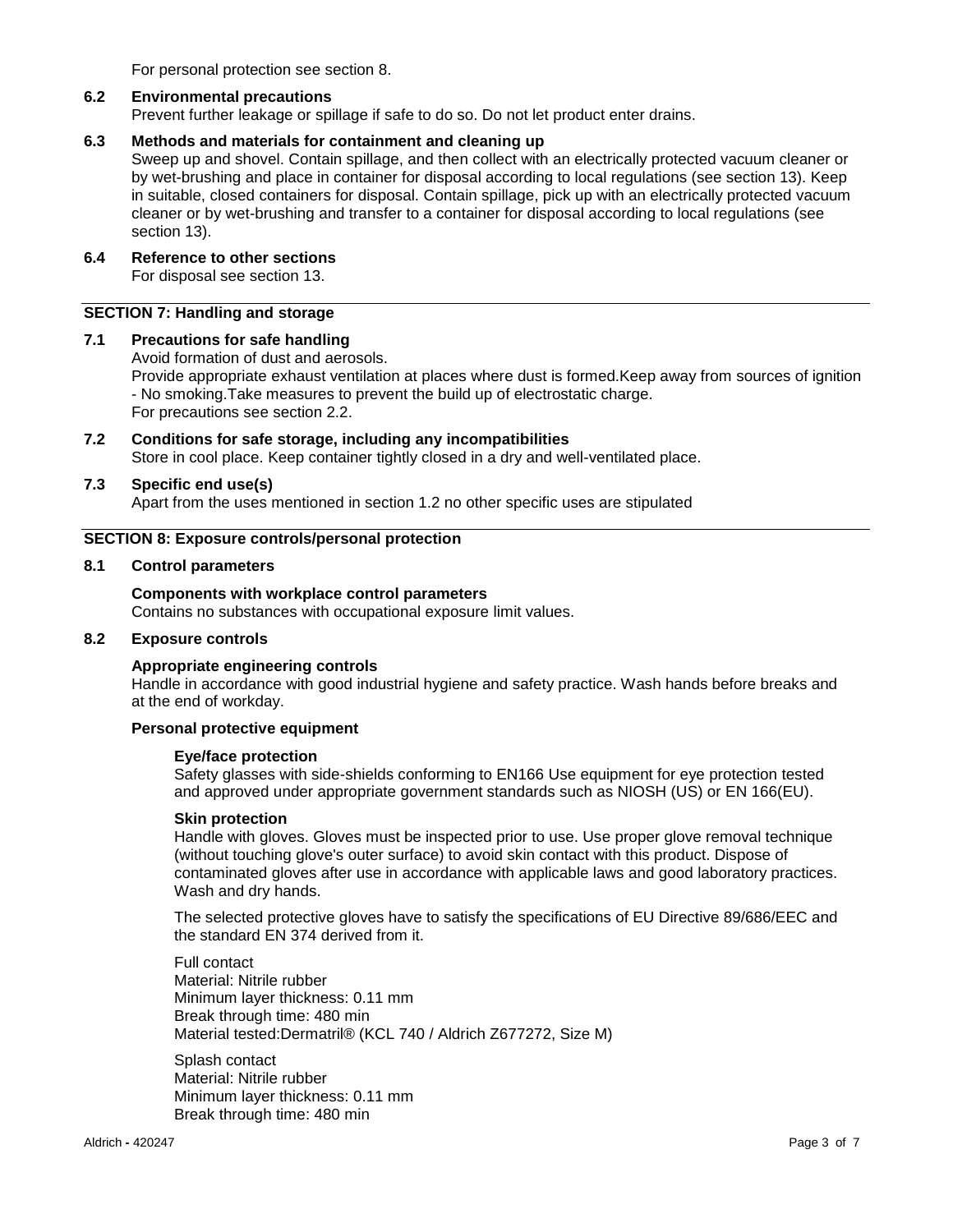For personal protection see section 8.

#### **6.2 Environmental precautions**

Prevent further leakage or spillage if safe to do so. Do not let product enter drains.

# **6.3 Methods and materials for containment and cleaning up**

Sweep up and shovel. Contain spillage, and then collect with an electrically protected vacuum cleaner or by wet-brushing and place in container for disposal according to local regulations (see section 13). Keep in suitable, closed containers for disposal. Contain spillage, pick up with an electrically protected vacuum cleaner or by wet-brushing and transfer to a container for disposal according to local regulations (see section 13).

# **6.4 Reference to other sections**

For disposal see section 13.

# **SECTION 7: Handling and storage**

#### **7.1 Precautions for safe handling**

Avoid formation of dust and aerosols.

Provide appropriate exhaust ventilation at places where dust is formed.Keep away from sources of ignition - No smoking.Take measures to prevent the build up of electrostatic charge. For precautions see section 2.2.

# **7.2 Conditions for safe storage, including any incompatibilities** Store in cool place. Keep container tightly closed in a dry and well-ventilated place.

#### **7.3 Specific end use(s)**

Apart from the uses mentioned in section 1.2 no other specific uses are stipulated

#### **SECTION 8: Exposure controls/personal protection**

#### **8.1 Control parameters**

**Components with workplace control parameters** Contains no substances with occupational exposure limit values.

# **8.2 Exposure controls**

#### **Appropriate engineering controls**

Handle in accordance with good industrial hygiene and safety practice. Wash hands before breaks and at the end of workday.

# **Personal protective equipment**

#### **Eye/face protection**

Safety glasses with side-shields conforming to EN166 Use equipment for eye protection tested and approved under appropriate government standards such as NIOSH (US) or EN 166(EU).

#### **Skin protection**

Handle with gloves. Gloves must be inspected prior to use. Use proper glove removal technique (without touching glove's outer surface) to avoid skin contact with this product. Dispose of contaminated gloves after use in accordance with applicable laws and good laboratory practices. Wash and dry hands.

The selected protective gloves have to satisfy the specifications of EU Directive 89/686/EEC and the standard EN 374 derived from it.

Full contact Material: Nitrile rubber Minimum layer thickness: 0.11 mm Break through time: 480 min Material tested:Dermatril® (KCL 740 / Aldrich Z677272, Size M)

Splash contact Material: Nitrile rubber Minimum layer thickness: 0.11 mm Break through time: 480 min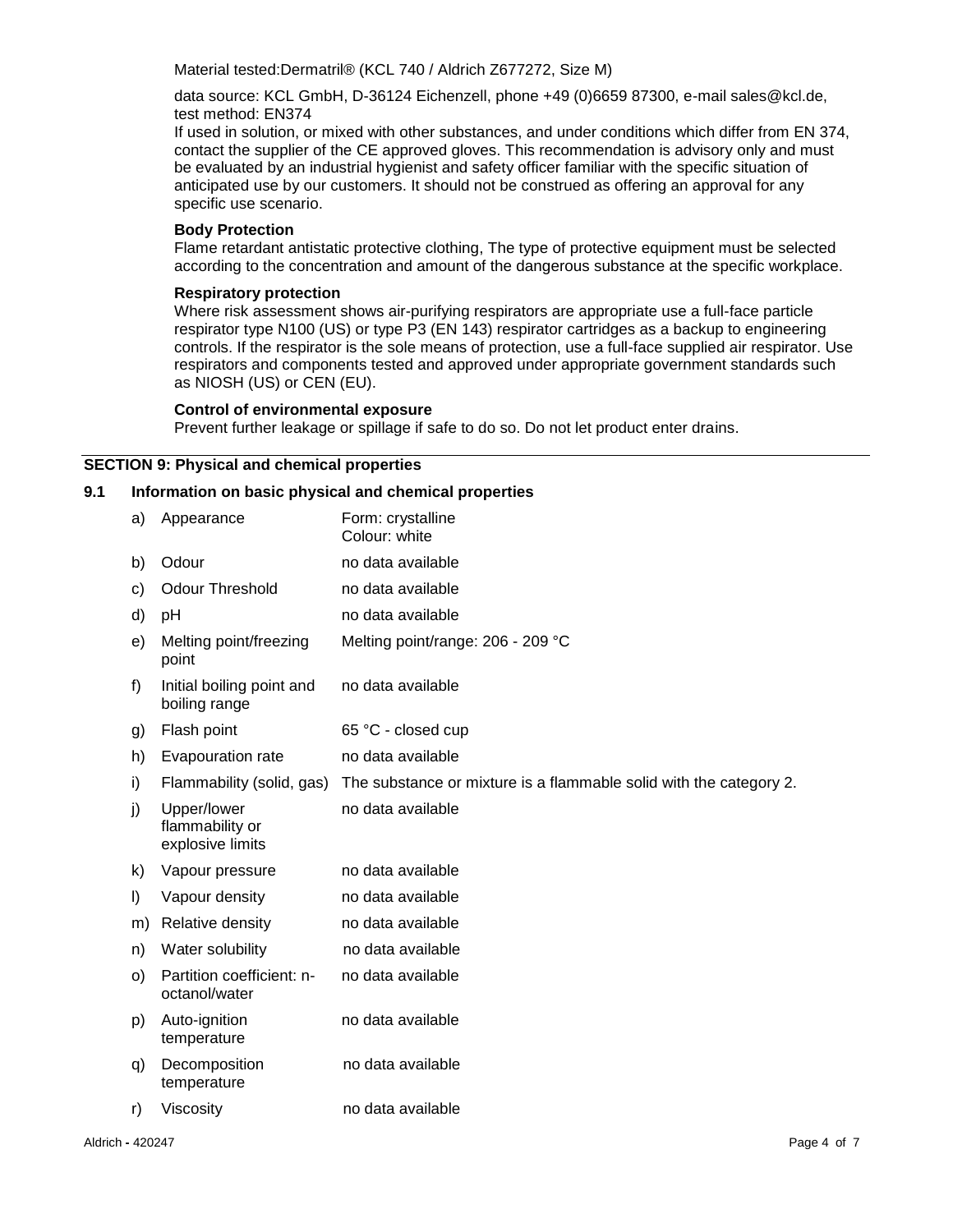Material tested:Dermatril® (KCL 740 / Aldrich Z677272, Size M)

data source: KCL GmbH, D-36124 Eichenzell, phone +49 (0)6659 87300, e-mail sales@kcl.de, test method: EN374

If used in solution, or mixed with other substances, and under conditions which differ from EN 374, contact the supplier of the CE approved gloves. This recommendation is advisory only and must be evaluated by an industrial hygienist and safety officer familiar with the specific situation of anticipated use by our customers. It should not be construed as offering an approval for any specific use scenario.

#### **Body Protection**

Flame retardant antistatic protective clothing, The type of protective equipment must be selected according to the concentration and amount of the dangerous substance at the specific workplace.

#### **Respiratory protection**

Where risk assessment shows air-purifying respirators are appropriate use a full-face particle respirator type N100 (US) or type P3 (EN 143) respirator cartridges as a backup to engineering controls. If the respirator is the sole means of protection, use a full-face supplied air respirator. Use respirators and components tested and approved under appropriate government standards such as NIOSH (US) or CEN (EU).

#### **Control of environmental exposure**

Prevent further leakage or spillage if safe to do so. Do not let product enter drains.

#### **SECTION 9: Physical and chemical properties**

#### **9.1 Information on basic physical and chemical properties**

| a)      | Appearance                                         | Form: crystalline<br>Colour: white                                 |
|---------|----------------------------------------------------|--------------------------------------------------------------------|
| b)      | Odour                                              | no data available                                                  |
| C)      | <b>Odour Threshold</b>                             | no data available                                                  |
| d)      | рH                                                 | no data available                                                  |
| e)      | Melting point/freezing<br>point                    | Melting point/range: 206 - 209 °C                                  |
| f)      | Initial boiling point and<br>boiling range         | no data available                                                  |
| g)      | Flash point                                        | 65 °C - closed cup                                                 |
| h)      | Evapouration rate                                  | no data available                                                  |
| i)      | Flammability (solid, gas)                          | The substance or mixture is a flammable solid with the category 2. |
| j)      | Upper/lower<br>flammability or<br>explosive limits | no data available                                                  |
| k)      | Vapour pressure                                    | no data available                                                  |
| $\vert$ | Vapour density                                     | no data available                                                  |
| m)      | <b>Relative density</b>                            | no data available                                                  |
| n)      | Water solubility                                   | no data available                                                  |
| $\circ$ | Partition coefficient: n-<br>octanol/water         | no data available                                                  |
| p)      | Auto-ignition<br>temperature                       | no data available                                                  |
| q)      | Decomposition<br>temperature                       | no data available                                                  |
| r)      | Viscosity                                          | no data available                                                  |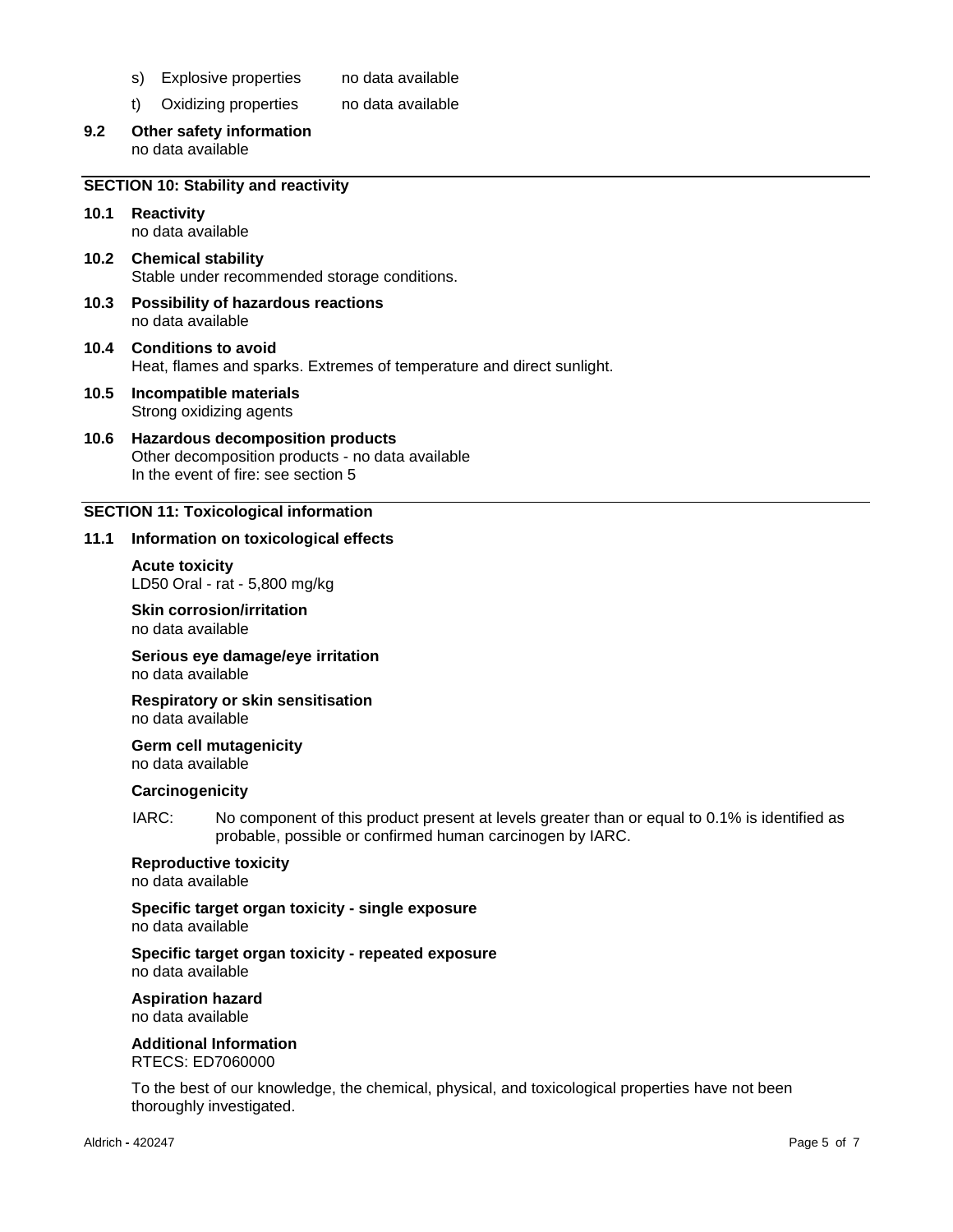- s) Explosive properties no data available
- t) Oxidizing properties no data available
- **9.2 Other safety information** no data available

#### **SECTION 10: Stability and reactivity**

- **10.1 Reactivity** no data available
- **10.2 Chemical stability** Stable under recommended storage conditions.
- **10.3 Possibility of hazardous reactions** no data available
- **10.4 Conditions to avoid** Heat, flames and sparks. Extremes of temperature and direct sunlight.
- **10.5 Incompatible materials** Strong oxidizing agents
- **10.6 Hazardous decomposition products** Other decomposition products - no data available In the event of fire: see section 5

#### **SECTION 11: Toxicological information**

#### **11.1 Information on toxicological effects**

**Acute toxicity** LD50 Oral - rat - 5,800 mg/kg

**Skin corrosion/irritation** no data available

**Serious eye damage/eye irritation** no data available

**Respiratory or skin sensitisation** no data available

**Germ cell mutagenicity** no data available

#### **Carcinogenicity**

IARC: No component of this product present at levels greater than or equal to 0.1% is identified as probable, possible or confirmed human carcinogen by IARC.

# **Reproductive toxicity**

no data available

**Specific target organ toxicity - single exposure**

no data available

#### **Specific target organ toxicity - repeated exposure** no data available

**Aspiration hazard** no data available

**Additional Information** RTECS: ED7060000

To the best of our knowledge, the chemical, physical, and toxicological properties have not been thoroughly investigated.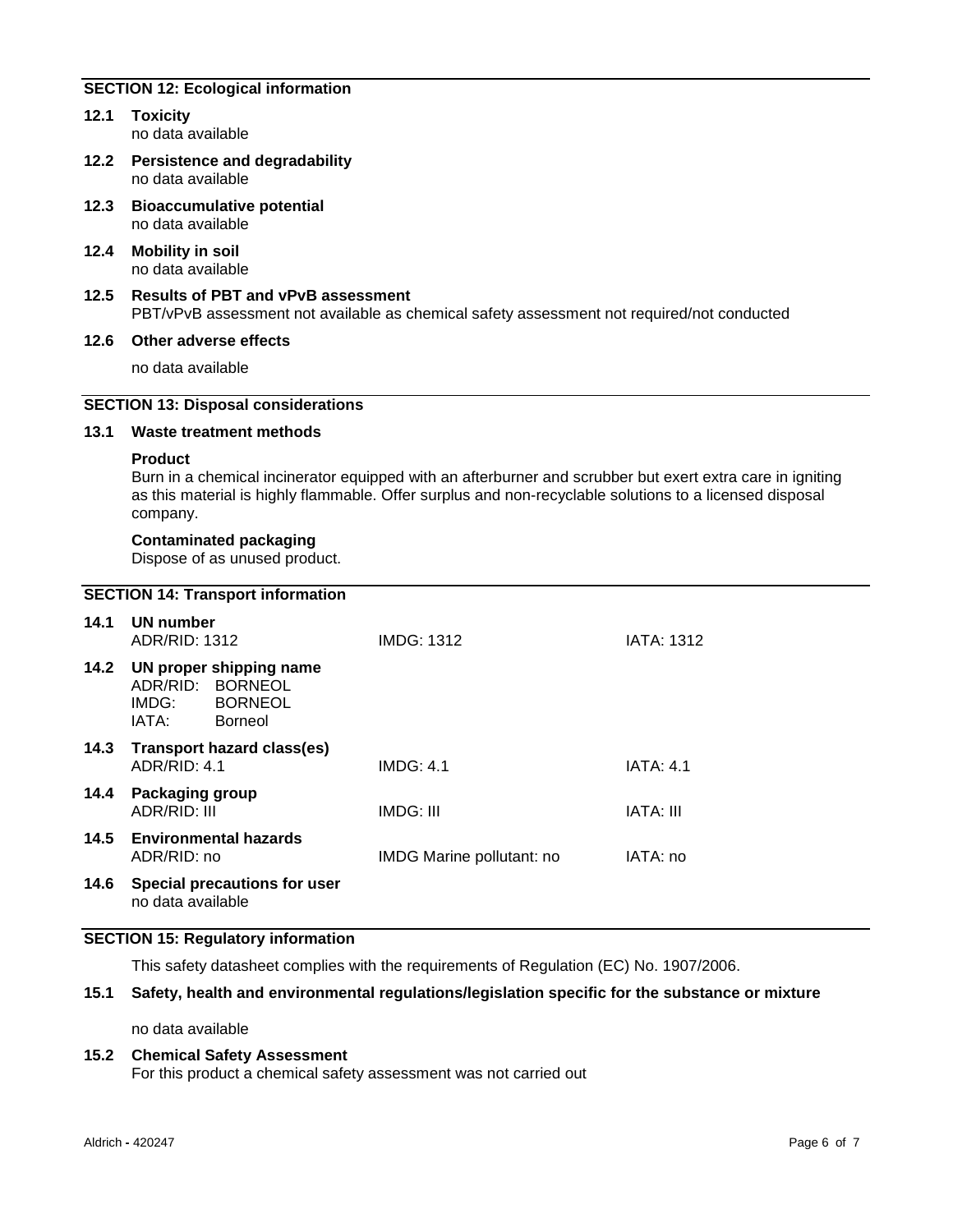# **SECTION 12: Ecological information**

- **12.1 Toxicity** no data available
- **12.2 Persistence and degradability** no data available
- **12.3 Bioaccumulative potential** no data available
- **12.4 Mobility in soil** no data available
- **12.5 Results of PBT and vPvB assessment** PBT/vPvB assessment not available as chemical safety assessment not required/not conducted

#### **12.6 Other adverse effects**

no data available

# **SECTION 13: Disposal considerations**

# **13.1 Waste treatment methods**

#### **Product**

Burn in a chemical incinerator equipped with an afterburner and scrubber but exert extra care in igniting as this material is highly flammable. Offer surplus and non-recyclable solutions to a licensed disposal company.

#### **Contaminated packaging**

Dispose of as unused product.

# **SECTION 14: Transport information**

| 14.1 | UN number<br>ADR/RID: 1312      |                                                                               | <b>IMDG: 1312</b>         | <b>IATA: 1312</b> |
|------|---------------------------------|-------------------------------------------------------------------------------|---------------------------|-------------------|
| 14.2 | ADR/RID:<br>IMDG:<br>IATA:      | UN proper shipping name<br><b>BORNEOL</b><br><b>BORNEOL</b><br><b>Borneol</b> |                           |                   |
| 14.3 | ADR/RID: 4.1                    | Transport hazard class(es)                                                    | IMDG: 4.1                 | <b>IATA: 4.1</b>  |
| 14.4 | Packaging group<br>ADR/RID: III |                                                                               | IMDG: III                 | IATA: III         |
| 14.5 | ADR/RID: no                     | <b>Environmental hazards</b>                                                  | IMDG Marine pollutant: no | IATA: no          |
| 14.6 | no data available               | Special precautions for user                                                  |                           |                   |

# **SECTION 15: Regulatory information**

This safety datasheet complies with the requirements of Regulation (EC) No. 1907/2006.

#### **15.1 Safety, health and environmental regulations/legislation specific for the substance or mixture**

no data available

# **15.2 Chemical Safety Assessment**

For this product a chemical safety assessment was not carried out